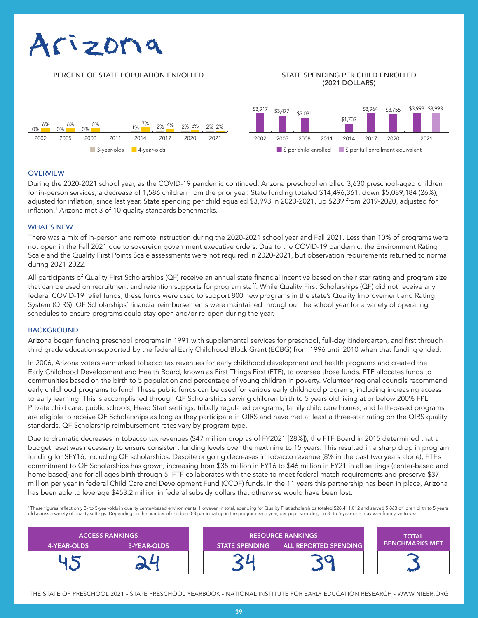# Arizona

# PERCENT OF STATE POPULATION ENROLLED STATE SPENDING PER CHILD ENROLLED

# (2021 DOLLARS)



#### **OVERVIEW**

During the 2020-2021 school year, as the COVID-19 pandemic continued, Arizona preschool enrolled 3,630 preschool-aged children for in-person services, a decrease of 1,586 children from the prior year. State funding totaled \$14,496,361, down \$5,089,184 (26%), adjusted for inflation, since last year. State spending per child equaled \$3,993 in 2020-2021, up \$239 from 2019-2020, adjusted for inflation.<sup>1</sup> Arizona met 3 of 10 quality standards benchmarks.

### WHAT'S NEW

There was a mix of in-person and remote instruction during the 2020-2021 school year and Fall 2021. Less than 10% of programs were not open in the Fall 2021 due to sovereign government executive orders. Due to the COVID-19 pandemic, the Environment Rating Scale and the Quality First Points Scale assessments were not required in 2020-2021, but observation requirements returned to normal during 2021-2022.

All participants of Quality First Scholarships (QF) receive an annual state financial incentive based on their star rating and program size that can be used on recruitment and retention supports for program staff. While Quality First Scholarships (QF) did not receive any federal COVID-19 relief funds, these funds were used to support 800 new programs in the state's Quality Improvement and Rating System (QIRS). QF Scholarships' financial reimbursements were maintained throughout the school year for a variety of operating schedules to ensure programs could stay open and/or re-open during the year.

#### **BACKGROUND**

Arizona began funding preschool programs in 1991 with supplemental services for preschool, full-day kindergarten, and first through third grade education supported by the federal Early Childhood Block Grant (ECBG) from 1996 until 2010 when that funding ended.

In 2006, Arizona voters earmarked tobacco tax revenues for early childhood development and health programs and created the Early Childhood Development and Health Board, known as First Things First (FTF), to oversee those funds. FTF allocates funds to communities based on the birth to 5 population and percentage of young children in poverty. Volunteer regional councils recommend early childhood programs to fund. These public funds can be used for various early childhood programs, including increasing access to early learning. This is accomplished through QF Scholarships serving children birth to 5 years old living at or below 200% FPL. Private child care, public schools, Head Start settings, tribally regulated programs, family child care homes, and faith-based programs are eligible to receive QF Scholarships as long as they participate in QIRS and have met at least a three-star rating on the QIRS quality standards. QF Scholarship reimbursement rates vary by program type.

Due to dramatic decreases in tobacco tax revenues (\$47 million drop as of FY2021 [28%]), the FTF Board in 2015 determined that a budget reset was necessary to ensure consistent funding levels over the next nine to 15 years. This resulted in a sharp drop in program funding for SFY16, including QF scholarships. Despite ongoing decreases in tobacco revenue (8% in the past two years alone), FTF's commitment to QF Scholarships has grown, increasing from \$35 million in FY16 to \$46 million in FY21 in all settings (center-based and home based) and for all ages birth through 5. FTF collaborates with the state to meet federal match requirements and preserve \$37 million per year in federal Child Care and Development Fund (CCDF) funds. In the 11 years this partnership has been in place, Arizona has been able to leverage \$453.2 million in federal subsidy dollars that otherwise would have been lost.

' These figures reflect only 3- to 5-year-olds in quality center-based environments. However, in total, spending for Quality First scholarships totaled \$28,411,012 and served 5,863 children birth to 5 years<br>old across a va

| <b>ACCESS RANKINGS</b> |             | <b>RESOURCE RANKINGS</b> |                       | <b>TOTAL</b>           |
|------------------------|-------------|--------------------------|-----------------------|------------------------|
| 4-YEAR-OLDS            | 3-YEAR-OLDS | <b>STATE SPENDING</b>    | ALL REPORTED SPENDING | <b>BENCHMARKS MET\</b> |
|                        |             |                          |                       |                        |

THE STATE OF PRESCHOOL 2021 - STATE PRESCHOOL YEARBOOK - NATIONAL INSTITUTE FOR EARLY EDUCATION RESEARCH - WWW.NIEER.ORG